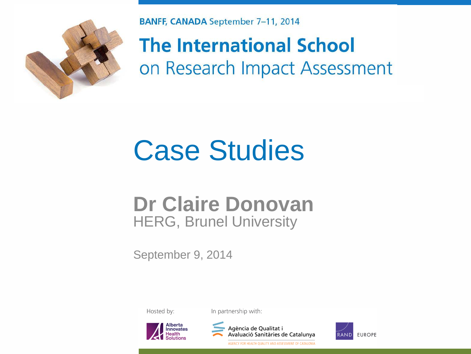

**BANFF, CANADA September 7-11, 2014** 

**The International School** on Research Impact Assessment

## Case Studies

#### **Dr Claire Donovan**  HERG, Brunel University

September 9, 2014

Hosted by:

In partnership with:





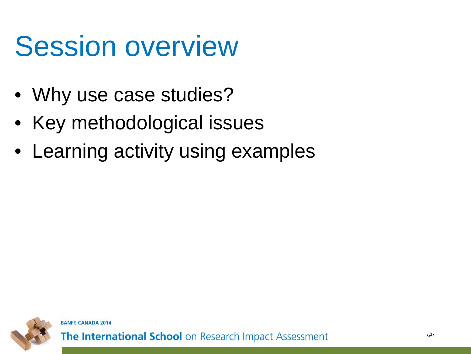## Session overview

- Why use case studies?
- Key methodological issues
- Learning activity using examples

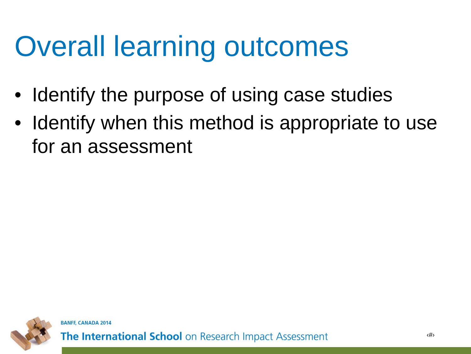## Overall learning outcomes

- Identify the purpose of using case studies
- Identify when this method is appropriate to use for an assessment

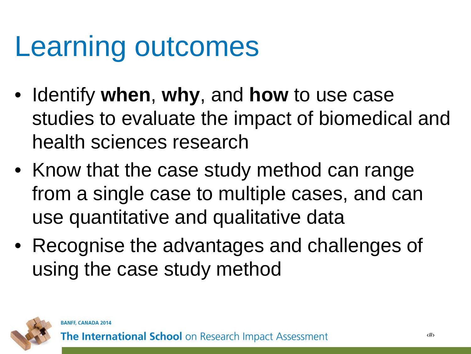### Learning outcomes

- Identify **when**, **why**, and **how** to use case studies to evaluate the impact of biomedical and health sciences research
- Know that the case study method can range from a single case to multiple cases, and can use quantitative and qualitative data
- Recognise the advantages and challenges of using the case study method

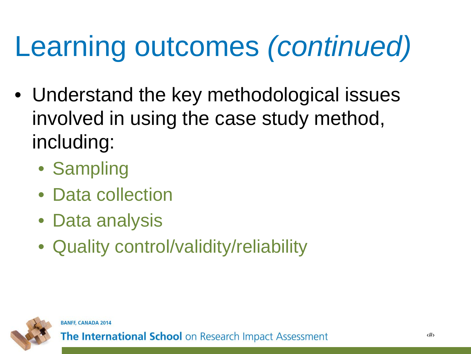# Learning outcomes *(continued)*

- Understand the key methodological issues involved in using the case study method, including:
	- Sampling
	- Data collection
	- Data analysis
	- Quality control/validity/reliability



**BANFF, CANADA 2014**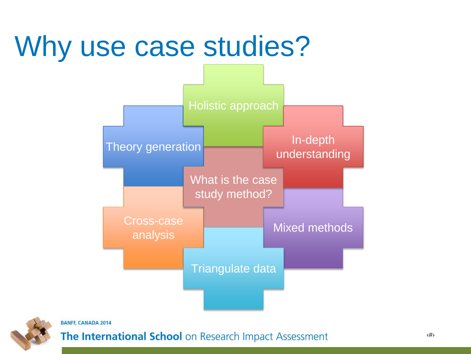### Why use case studies?





#### **BANFF, CANADA 2014**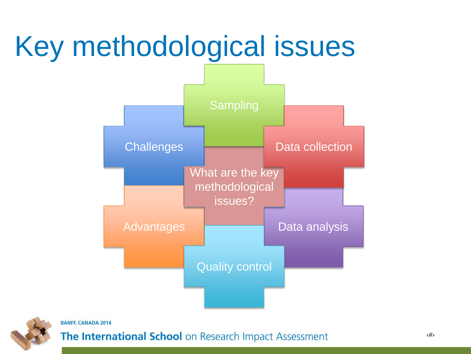### Key methodological issues





**BANFF, CANADA 2014**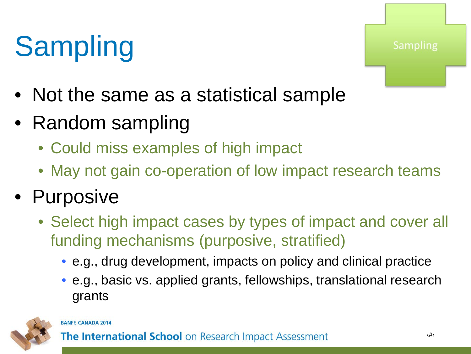# **Sampling**

**Sampling** 

- Not the same as a statistical sample
- Random sampling
	- Could miss examples of high impact
	- May not gain co-operation of low impact research teams

#### • Purposive

- Select high impact cases by types of impact and cover all funding mechanisms (purposive, stratified)
	- e.g., drug development, impacts on policy and clinical practice
	- e.g., basic vs. applied grants, fellowships, translational research grants



#### **BANFF, CANADA 2014**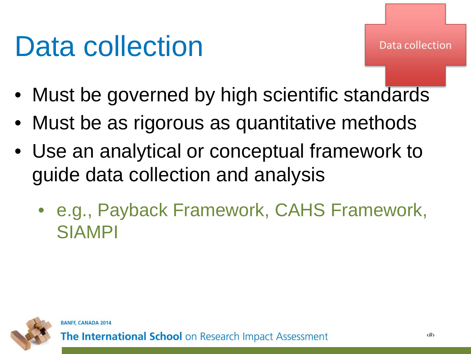### Data collection

- Must be governed by high scientific standards
- Must be as rigorous as quantitative methods
- Use an analytical or conceptual framework to guide data collection and analysis
	- e.g., Payback Framework, CAHS Framework, SIAMPI

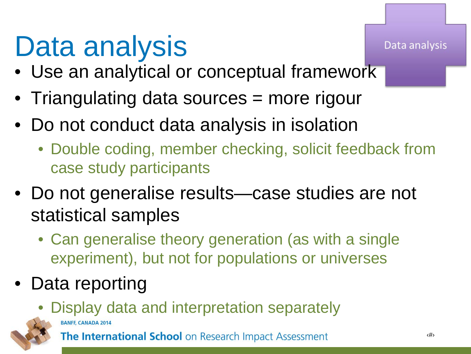# Data analysis

- Use an analytical or conceptual framework
- Triangulating data sources = more rigour
- Do not conduct data analysis in isolation
	- Double coding, member checking, solicit feedback from case study participants
- Do not generalise results—case studies are not statistical samples
	- Can generalise theory generation (as with a single experiment), but not for populations or universes
- Data reporting

BANFF, CANADA 2014

• Display data and interpretation separately



The International School on Research Impact Assessment

Data analysis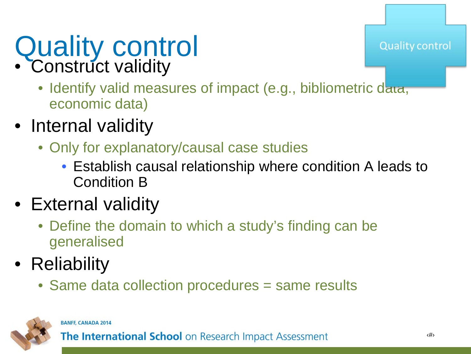#### Quality control • Construct validity

- Identify valid measures of impact (e.g., bibliometric data, economic data)
- Internal validity
	- Only for explanatory/causal case studies
		- Establish causal relationship where condition A leads to Condition B
- External validity
	- Define the domain to which a study's finding can be generalised
- Reliability
	- Same data collection procedures = same results



#### **BANFF, CANADA 2014**

**The International School** on Research Impact Assessment

**Quality control**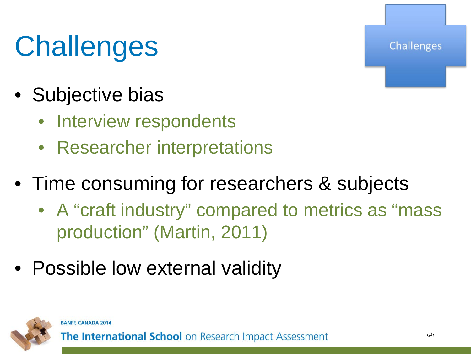# **Challenges**

- Subjective bias
	- Interview respondents
	- Researcher interpretations
- Time consuming for researchers & subjects
	- A "craft industry" compared to metrics as "mass production" (Martin, 2011)
- Possible low external validity



**BANFF, CANADA 2014** 

The International School on Research Impact Assessment

Challenges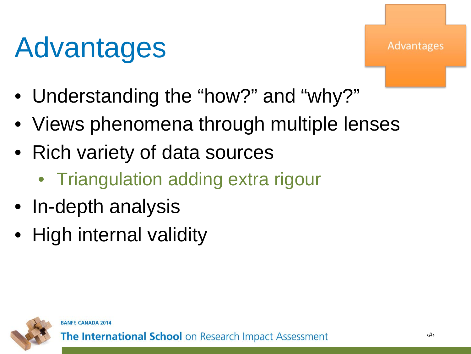# Advantages

Advantages

- Understanding the "how?" and "why?"
- Views phenomena through multiple lenses
- Rich variety of data sources
	- Triangulation adding extra rigour
- In-depth analysis
- High internal validity

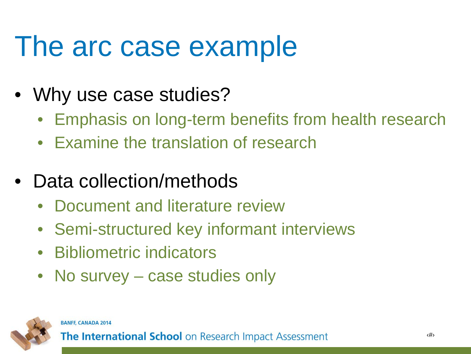#### The arc case example

- Why use case studies?
	- Emphasis on long-term benefits from health research
	- Examine the translation of research
- Data collection/methods
	- Document and literature review
	- Semi-structured key informant interviews
	- Bibliometric indicators
	- No survey case studies only

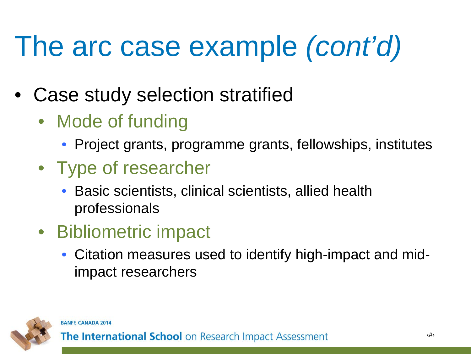# The arc case example *(cont'd)*

- Case study selection stratified
	- Mode of funding
		- Project grants, programme grants, fellowships, institutes
	- Type of researcher
		- Basic scientists, clinical scientists, allied health professionals
	- Bibliometric impact
		- Citation measures used to identify high-impact and midimpact researchers

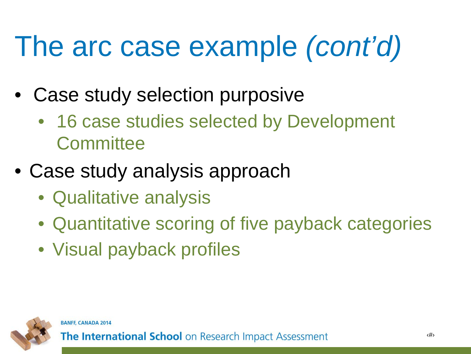# The arc case example *(cont'd)*

- Case study selection purposive
	- 16 case studies selected by Development **Committee**
- Case study analysis approach
	- Qualitative analysis
	- Quantitative scoring of five payback categories
	- Visual payback profiles



**BANFF, CANADA 2014**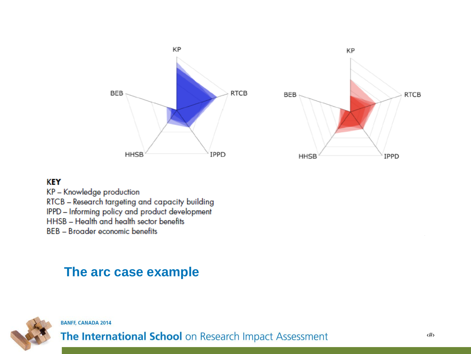

#### **KEY**

KP - Knowledge production RTCB - Research targeting and capacity building IPPD - Informing policy and product development HHSB - Health and health sector benefits **BEB** - Broader economic benefits

#### **The arc case example**



**BANFF, CANADA 2014**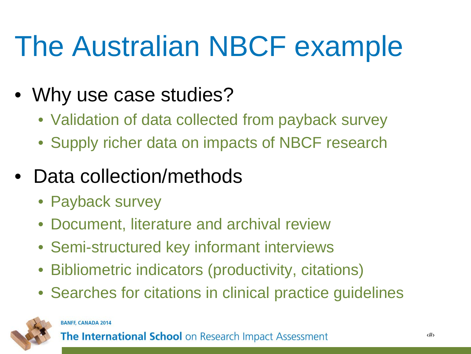# The Australian NBCF example

- Why use case studies?
	- Validation of data collected from payback survey
	- Supply richer data on impacts of NBCF research
- Data collection/methods
	- Payback survey
	- Document, literature and archival review
	- Semi-structured key informant interviews
	- Bibliometric indicators (productivity, citations)
	- Searches for citations in clinical practice guidelines



#### **BANFF, CANADA 2014**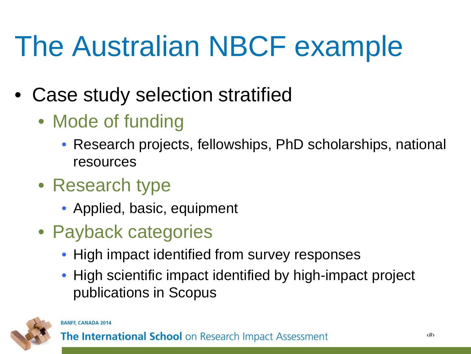# The Australian NBCF example

- Case study selection stratified
	- Mode of funding
		- Research projects, fellowships, PhD scholarships, national resources
	- Research type
		- Applied, basic, equipment
	- Payback categories
		- High impact identified from survey responses
		- High scientific impact identified by high-impact project publications in Scopus



#### **BANFF, CANADA 2014**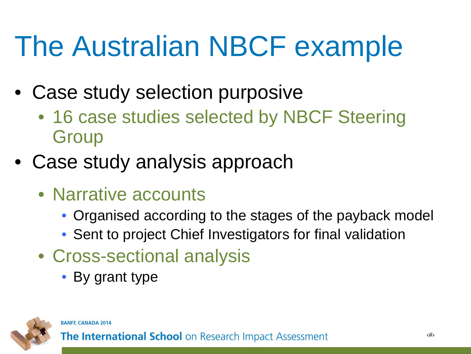# The Australian NBCF example

- Case study selection purposive
	- 16 case studies selected by NBCF Steering **Group**
- Case study analysis approach
	- Narrative accounts
		- Organised according to the stages of the payback model
		- Sent to project Chief Investigators for final validation
	- Cross-sectional analysis
		- By grant type

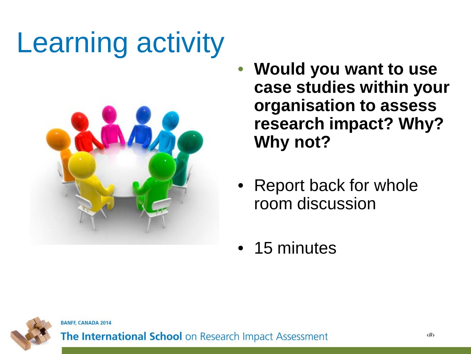# Learning activity



- **Would you want to use case studies within your organisation to assess research impact? Why? Why not?**
- Report back for whole room discussion
- 15 minutes



**BANFF, CANADA 2014**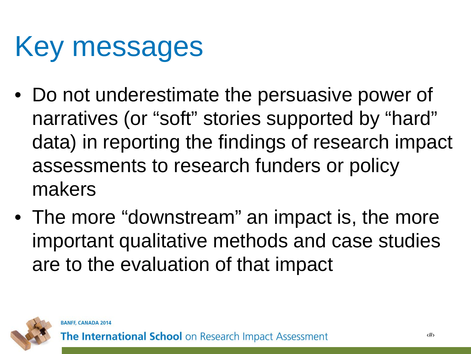## Key messages

- Do not underestimate the persuasive power of narratives (or "soft" stories supported by "hard" data) in reporting the findings of research impact assessments to research funders or policy makers
- The more "downstream" an impact is, the more important qualitative methods and case studies are to the evaluation of that impact

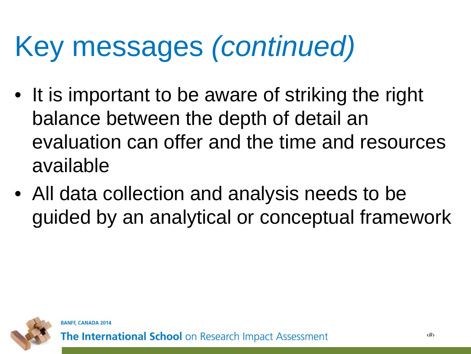# Key messages *(continued)*

- It is important to be aware of striking the right balance between the depth of detail an evaluation can offer and the time and resources available
- All data collection and analysis needs to be guided by an analytical or conceptual framework

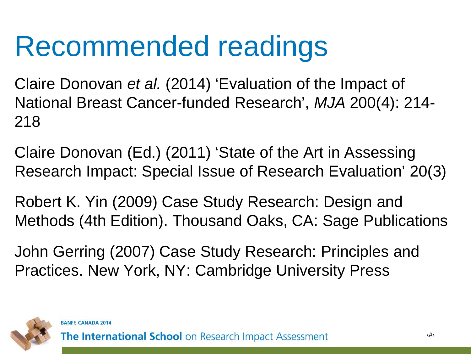## Recommended readings

Claire Donovan *et al.* (2014) 'Evaluation of the Impact of National Breast Cancer-funded Research', *MJA* 200(4): 214- 218

Claire Donovan (Ed.) (2011) 'State of the Art in Assessing Research Impact: Special Issue of Research Evaluation' 20(3)

Robert K. Yin (2009) Case Study Research: Design and Methods (4th Edition). Thousand Oaks, CA: Sage Publications

John Gerring (2007) Case Study Research: Principles and Practices. New York, NY: Cambridge University Press